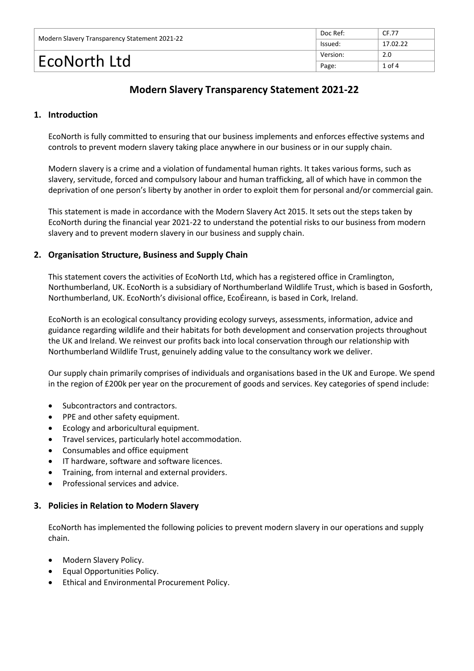| Modern Slavery Transparency Statement 2021-22 | Doc Ref: | CF.77      |
|-----------------------------------------------|----------|------------|
|                                               | lssued:  | 17.02.22   |
| EcoNorth Ltd                                  | Version: | 2.0        |
|                                               | Page:    | $1$ of $4$ |

# **Modern Slavery Transparency Statement 2021-22**

# **1. Introduction**

EcoNorth is fully committed to ensuring that our business implements and enforces effective systems and controls to prevent modern slavery taking place anywhere in our business or in our supply chain.

Modern slavery is a crime and a violation of fundamental human rights. It takes various forms, such as slavery, servitude, forced and compulsory labour and human trafficking, all of which have in common the deprivation of one person's liberty by another in order to exploit them for personal and/or commercial gain.

This statement is made in accordance with the Modern Slavery Act 2015. It sets out the steps taken by EcoNorth during the financial year 2021-22 to understand the potential risks to our business from modern slavery and to prevent modern slavery in our business and supply chain.

#### **2. Organisation Structure, Business and Supply Chain**

This statement covers the activities of EcoNorth Ltd, which has a registered office in Cramlington, Northumberland, UK. EcoNorth is a subsidiary of Northumberland Wildlife Trust, which is based in Gosforth, Northumberland, UK. EcoNorth's divisional office, EcoÉireann, is based in Cork, Ireland.

EcoNorth is an ecological consultancy providing ecology surveys, assessments, information, advice and guidance regarding wildlife and their habitats for both development and conservation projects throughout the UK and Ireland. We reinvest our profits back into local conservation through our relationship with Northumberland Wildlife Trust, genuinely adding value to the consultancy work we deliver.

Our supply chain primarily comprises of individuals and organisations based in the UK and Europe. We spend in the region of £200k per year on the procurement of goods and services. Key categories of spend include:

- Subcontractors and contractors.
- PPE and other safety equipment.
- Ecology and arboricultural equipment.
- Travel services, particularly hotel accommodation.
- Consumables and office equipment
- IT hardware, software and software licences.
- Training, from internal and external providers.
- Professional services and advice.

#### **3. Policies in Relation to Modern Slavery**

EcoNorth has implemented the following policies to prevent modern slavery in our operations and supply chain.

- Modern Slavery Policy.
- Equal Opportunities Policy.
- Ethical and Environmental Procurement Policy.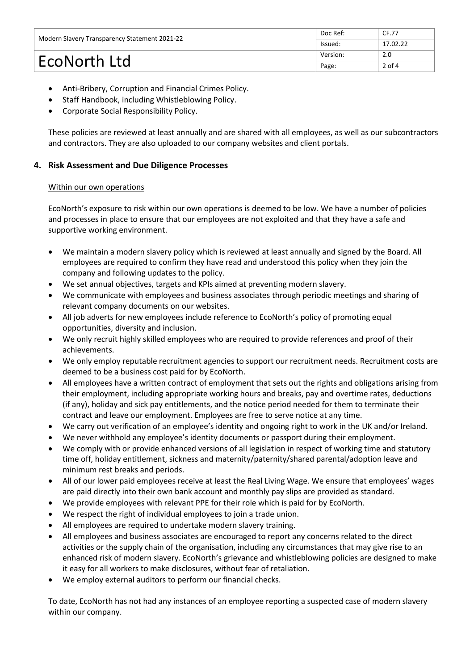| Modern Slavery Transparency Statement 2021-22 | Doc Ref: | CF.77    |
|-----------------------------------------------|----------|----------|
|                                               | Issued:  | 17.02.22 |
| EcoNorth Ltd                                  | Version: | 2.0      |
|                                               | Page:    | $2$ of 4 |

- Anti-Bribery, Corruption and Financial Crimes Policy.
- Staff Handbook, including Whistleblowing Policy.
- Corporate Social Responsibility Policy.

These policies are reviewed at least annually and are shared with all employees, as well as our subcontractors and contractors. They are also uploaded to our company websites and client portals.

# **4. Risk Assessment and Due Diligence Processes**

#### Within our own operations

EcoNorth's exposure to risk within our own operations is deemed to be low. We have a number of policies and processes in place to ensure that our employees are not exploited and that they have a safe and supportive working environment.

- We maintain a modern slavery policy which is reviewed at least annually and signed by the Board. All employees are required to confirm they have read and understood this policy when they join the company and following updates to the policy.
- We set annual objectives, targets and KPIs aimed at preventing modern slavery.
- We communicate with employees and business associates through periodic meetings and sharing of relevant company documents on our websites.
- All job adverts for new employees include reference to EcoNorth's policy of promoting equal opportunities, diversity and inclusion.
- We only recruit highly skilled employees who are required to provide references and proof of their achievements.
- We only employ reputable recruitment agencies to support our recruitment needs. Recruitment costs are deemed to be a business cost paid for by EcoNorth.
- All employees have a written contract of employment that sets out the rights and obligations arising from their employment, including appropriate working hours and breaks, pay and overtime rates, deductions (if any), holiday and sick pay entitlements, and the notice period needed for them to terminate their contract and leave our employment. Employees are free to serve notice at any time.
- We carry out verification of an employee's identity and ongoing right to work in the UK and/or Ireland.
- We never withhold any employee's identity documents or passport during their employment.
- We comply with or provide enhanced versions of all legislation in respect of working time and statutory time off, holiday entitlement, sickness and maternity/paternity/shared parental/adoption leave and minimum rest breaks and periods.
- All of our lower paid employees receive at least the Real Living Wage. We ensure that employees' wages are paid directly into their own bank account and monthly pay slips are provided as standard.
- We provide employees with relevant PPE for their role which is paid for by EcoNorth.
- We respect the right of individual employees to join a trade union.
- All employees are required to undertake modern slavery training.
- All employees and business associates are encouraged to report any concerns related to the direct activities or the supply chain of the organisation, including any circumstances that may give rise to an enhanced risk of modern slavery. EcoNorth's grievance and whistleblowing policies are designed to make it easy for all workers to make disclosures, without fear of retaliation.
- We employ external auditors to perform our financial checks.

To date, EcoNorth has not had any instances of an employee reporting a suspected case of modern slavery within our company.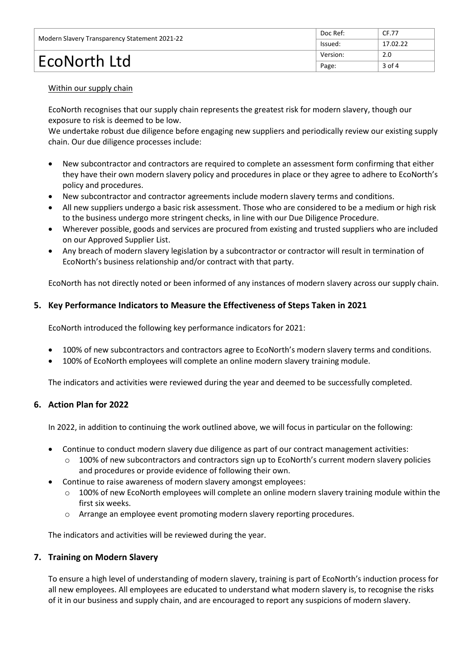| Modern Slavery Transparency Statement 2021-22 | Doc Ref: | CF.77    |
|-----------------------------------------------|----------|----------|
|                                               | Issued:  | 17.02.22 |
| EcoNorth Ltd                                  | Version: | 2.0      |
|                                               | Page:    | $3$ of 4 |

#### Within our supply chain

EcoNorth recognises that our supply chain represents the greatest risk for modern slavery, though our exposure to risk is deemed to be low.

We undertake robust due diligence before engaging new suppliers and periodically review our existing supply chain. Our due diligence processes include:

- New subcontractor and contractors are required to complete an assessment form confirming that either they have their own modern slavery policy and procedures in place or they agree to adhere to EcoNorth's policy and procedures.
- New subcontractor and contractor agreements include modern slavery terms and conditions.
- All new suppliers undergo a basic risk assessment. Those who are considered to be a medium or high risk to the business undergo more stringent checks, in line with our Due Diligence Procedure.
- Wherever possible, goods and services are procured from existing and trusted suppliers who are included on our Approved Supplier List.
- Any breach of modern slavery legislation by a subcontractor or contractor will result in termination of EcoNorth's business relationship and/or contract with that party.

EcoNorth has not directly noted or been informed of any instances of modern slavery across our supply chain.

# **5. Key Performance Indicators to Measure the Effectiveness of Steps Taken in 2021**

EcoNorth introduced the following key performance indicators for 2021:

- 100% of new subcontractors and contractors agree to EcoNorth's modern slavery terms and conditions.
- 100% of EcoNorth employees will complete an online modern slavery training module.

The indicators and activities were reviewed during the year and deemed to be successfully completed.

#### **6. Action Plan for 2022**

In 2022, in addition to continuing the work outlined above, we will focus in particular on the following:

- Continue to conduct modern slavery due diligence as part of our contract management activities:
	- o 100% of new subcontractors and contractors sign up to EcoNorth's current modern slavery policies and procedures or provide evidence of following their own.
- Continue to raise awareness of modern slavery amongst employees:
	- $\circ$  100% of new EcoNorth employees will complete an online modern slavery training module within the first six weeks.
	- o Arrange an employee event promoting modern slavery reporting procedures.

The indicators and activities will be reviewed during the year.

#### **7. Training on Modern Slavery**

To ensure a high level of understanding of modern slavery, training is part of EcoNorth's induction process for all new employees. All employees are educated to understand what modern slavery is, to recognise the risks of it in our business and supply chain, and are encouraged to report any suspicions of modern slavery.